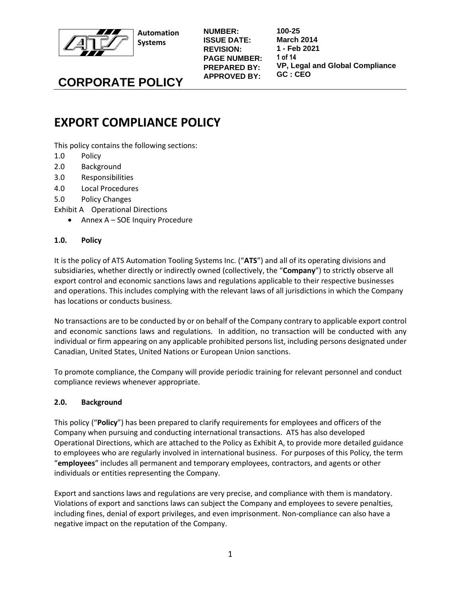

**APPROVED BY:** 

**100-25 March 2014 1 - Feb 2021 1 of 14 VP, Legal and Global Compliance GC : CEO**

**CORPORATE POLICY**

# **EXPORT COMPLIANCE POLICY**

This policy contains the following sections:

- 1.0 Policy
- 2.0 Background
- 3.0 Responsibilities
- 4.0 Local Procedures
- 5.0 Policy Changes
- Exhibit A Operational Directions
	- Annex A SOE Inquiry Procedure

## **1.0. Policy**

It is the policy of ATS Automation Tooling Systems Inc. ("**ATS**") and all of its operating divisions and subsidiaries, whether directly or indirectly owned (collectively, the "**Company**") to strictly observe all export control and economic sanctions laws and regulations applicable to their respective businesses and operations. This includes complying with the relevant laws of all jurisdictions in which the Company has locations or conducts business.

No transactions are to be conducted by or on behalf of the Company contrary to applicable export control and economic sanctions laws and regulations. In addition, no transaction will be conducted with any individual or firm appearing on any applicable prohibited persons list, including persons designated under Canadian, United States, United Nations or European Union sanctions.

To promote compliance, the Company will provide periodic training for relevant personnel and conduct compliance reviews whenever appropriate.

#### **2.0. Background**

This policy ("**Policy**") has been prepared to clarify requirements for employees and officers of the Company when pursuing and conducting international transactions. ATS has also developed Operational Directions, which are attached to the Policy as Exhibit A, to provide more detailed guidance to employees who are regularly involved in international business. For purposes of this Policy, the term "**employees**" includes all permanent and temporary employees, contractors, and agents or other individuals or entities representing the Company.

Export and sanctions laws and regulations are very precise, and compliance with them is mandatory. Violations of export and sanctions laws can subject the Company and employees to severe penalties, including fines, denial of export privileges, and even imprisonment. Non-compliance can also have a negative impact on the reputation of the Company.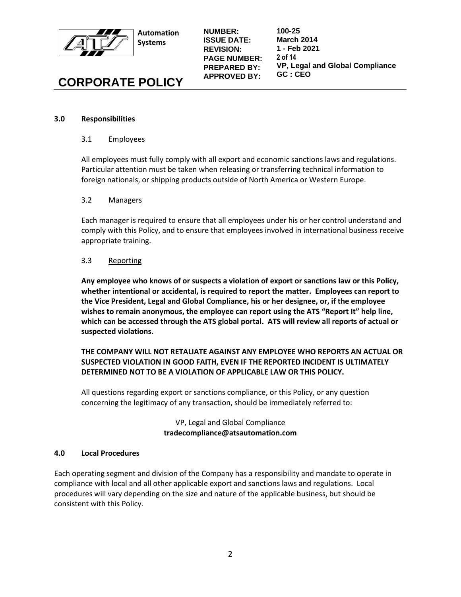

**Automation Systems**

**NUMBER: ISSUE DATE: REVISION: PAGE NUMBER: PREPARED BY: APPROVED BY:** 

**100-25 March 2014 1 - Feb 2021 2 of 14 VP, Legal and Global Compliance GC : CEO**

# **CORPORATE POLICY**

## **3.0 Responsibilities**

### 3.1 Employees

All employees must fully comply with all export and economic sanctions laws and regulations. Particular attention must be taken when releasing or transferring technical information to foreign nationals, or shipping products outside of North America or Western Europe.

## 3.2 Managers

Each manager is required to ensure that all employees under his or her control understand and comply with this Policy, and to ensure that employees involved in international business receive appropriate training.

## 3.3 Reporting

**Any employee who knows of or suspects a violation of export or sanctions law or this Policy, whether intentional or accidental, is required to report the matter. Employees can report to the Vice President, Legal and Global Compliance, his or her designee, or, if the employee wishes to remain anonymous, the employee can report using the ATS "Report It" help line, which can be accessed through the ATS global portal. ATS will review all reports of actual or suspected violations.**

## **THE COMPANY WILL NOT RETALIATE AGAINST ANY EMPLOYEE WHO REPORTS AN ACTUAL OR SUSPECTED VIOLATION IN GOOD FAITH, EVEN IF THE REPORTED INCIDENT IS ULTIMATELY DETERMINED NOT TO BE A VIOLATION OF APPLICABLE LAW OR THIS POLICY.**

All questions regarding export or sanctions compliance, or this Policy, or any question concerning the legitimacy of any transaction, should be immediately referred to:

# VP, Legal and Global Compliance **tradecompliance@atsautomation.com**

#### **4.0 Local Procedures**

Each operating segment and division of the Company has a responsibility and mandate to operate in compliance with local and all other applicable export and sanctions laws and regulations. Local procedures will vary depending on the size and nature of the applicable business, but should be consistent with this Policy.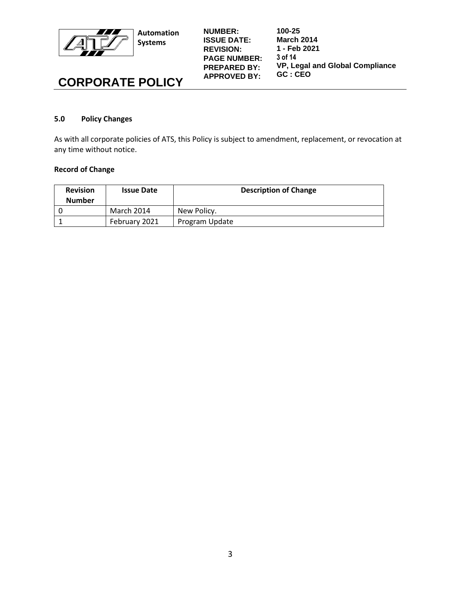

**100-25 March 2014 1 - Feb 2021 3 of 14 VP, Legal and Global Compliance GC : CEO**

# **CORPORATE POLICY**

## **5.0 Policy Changes**

As with all corporate policies of ATS, this Policy is subject to amendment, replacement, or revocation at any time without notice.

#### **Record of Change**

| <b>Revision</b><br><b>Number</b> | <b>Issue Date</b> | <b>Description of Change</b> |
|----------------------------------|-------------------|------------------------------|
|                                  | March 2014        | New Policy.                  |
|                                  | February 2021     | Program Update               |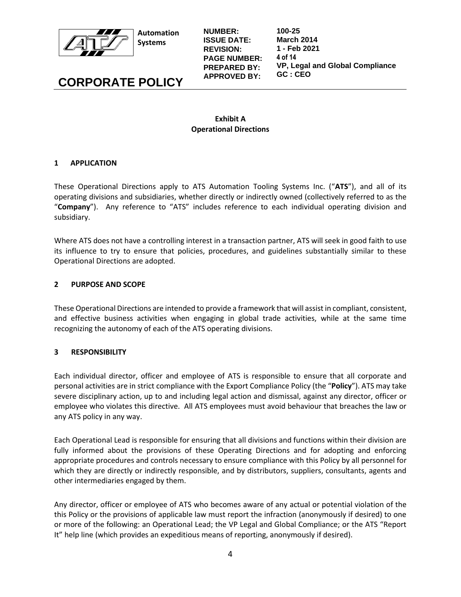

**CORPORATE POLICY**

**100-25 March 2014 1 - Feb 2021 4 of 14 VP, Legal and Global Compliance GC : CEO**

### **Exhibit A Operational Directions**

**APPROVED BY:** 

### **1 APPLICATION**

These Operational Directions apply to ATS Automation Tooling Systems Inc. ("**ATS**"), and all of its operating divisions and subsidiaries, whether directly or indirectly owned (collectively referred to as the "**Company**"). Any reference to "ATS" includes reference to each individual operating division and subsidiary.

Where ATS does not have a controlling interest in a transaction partner, ATS will seek in good faith to use its influence to try to ensure that policies, procedures, and guidelines substantially similar to these Operational Directions are adopted.

#### **2 PURPOSE AND SCOPE**

These Operational Directions are intended to provide a framework that will assist in compliant, consistent, and effective business activities when engaging in global trade activities, while at the same time recognizing the autonomy of each of the ATS operating divisions.

#### **3 RESPONSIBILITY**

Each individual director, officer and employee of ATS is responsible to ensure that all corporate and personal activities are in strict compliance with the Export Compliance Policy (the "**Policy**"). ATS may take severe disciplinary action, up to and including legal action and dismissal, against any director, officer or employee who violates this directive. All ATS employees must avoid behaviour that breaches the law or any ATS policy in any way.

Each Operational Lead is responsible for ensuring that all divisions and functions within their division are fully informed about the provisions of these Operating Directions and for adopting and enforcing appropriate procedures and controls necessary to ensure compliance with this Policy by all personnel for which they are directly or indirectly responsible, and by distributors, suppliers, consultants, agents and other intermediaries engaged by them.

Any director, officer or employee of ATS who becomes aware of any actual or potential violation of the this Policy or the provisions of applicable law must report the infraction (anonymously if desired) to one or more of the following: an Operational Lead; the VP Legal and Global Compliance; or the ATS "Report It" help line (which provides an expeditious means of reporting, anonymously if desired).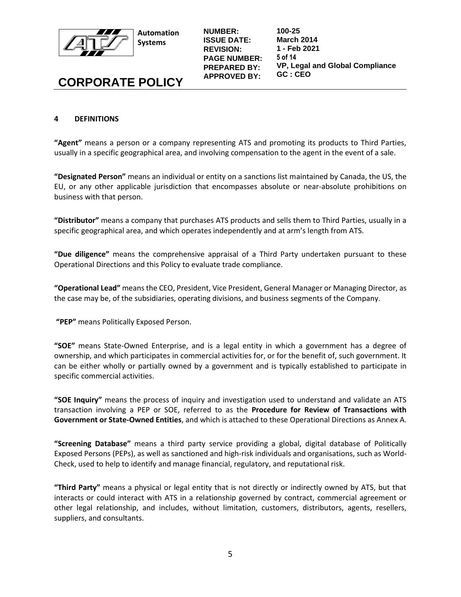

**100-25 March 2014 1 - Feb 2021 5 of 14 VP, Legal and Global Compliance GC : CEO**

### **4 DEFINITIONS**

**"Agent"** means a person or a company representing ATS and promoting its products to Third Parties, usually in a specific geographical area, and involving compensation to the agent in the event of a sale.

**APPROVED BY:** 

**"Designated Person"** means an individual or entity on a sanctions list maintained by Canada, the US, the EU, or any other applicable jurisdiction that encompasses absolute or near-absolute prohibitions on business with that person.

**"Distributor"** means a company that purchases ATS products and sells them to Third Parties, usually in a specific geographical area, and which operates independently and at arm's length from ATS.

**"Due diligence"** means the comprehensive appraisal of a Third Party undertaken pursuant to these Operational Directions and this Policy to evaluate trade compliance.

**"Operational Lead"** meansthe CEO, President, Vice President, General Manager or Managing Director, as the case may be, of the subsidiaries, operating divisions, and business segments of the Company.

**"PEP"** means Politically Exposed Person.

**"SOE"** means State-Owned Enterprise, and is a legal entity in which a government has a degree of ownership, and which participates in commercial activities for, or for the benefit of, such government. It can be either wholly or partially owned by a government and is typically established to participate in specific commercial activities.

**"SOE Inquiry"** means the process of inquiry and investigation used to understand and validate an ATS transaction involving a PEP or SOE, referred to as the **Procedure for Review of Transactions with Government or State-Owned Entities**, and which is attached to these Operational Directions as Annex A.

**"Screening Database"** means a third party service providing a global, digital database of Politically Exposed Persons (PEPs), as well as sanctioned and high-risk individuals and organisations, such as World-Check, used to help to identify and manage financial, regulatory, and reputational risk.

**"Third Party"** means a physical or legal entity that is not directly or indirectly owned by ATS, but that interacts or could interact with ATS in a relationship governed by contract, commercial agreement or other legal relationship, and includes, without limitation, customers, distributors, agents, resellers, suppliers, and consultants.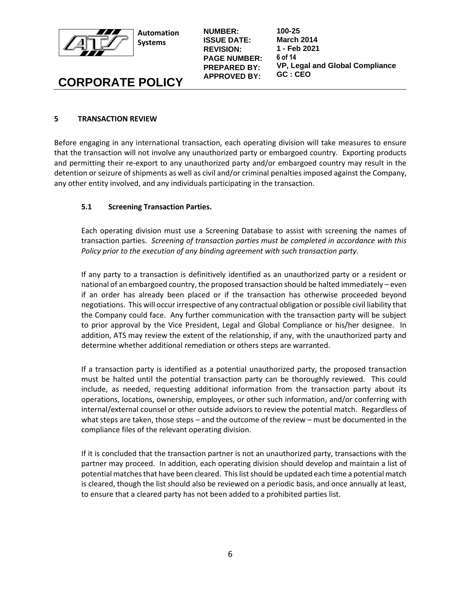

**NUMBER: ISSUE DATE: REVISION: PAGE NUMBER: Automation**

**100-25 March 2014 1 - Feb 2021 6 of 14 VP, Legal and Global Compliance GC : CEO**

# **CORPORATE POLICY**

## **5 TRANSACTION REVIEW**

Before engaging in any international transaction, each operating division will take measures to ensure that the transaction will not involve any unauthorized party or embargoed country. Exporting products and permitting their re-export to any unauthorized party and/or embargoed country may result in the detention or seizure of shipments as well as civil and/or criminal penalties imposed against the Company, any other entity involved, and any individuals participating in the transaction.

**PREPARED BY: APPROVED BY:** 

# **5.1 Screening Transaction Parties.**

Each operating division must use a Screening Database to assist with screening the names of transaction parties. *Screening of transaction parties must be completed in accordance with this Policy prior to the execution of any binding agreement with such transaction party.*

If any party to a transaction is definitively identified as an unauthorized party or a resident or national of an embargoed country, the proposed transaction should be halted immediately – even if an order has already been placed or if the transaction has otherwise proceeded beyond negotiations. This will occur irrespective of any contractual obligation or possible civil liability that the Company could face. Any further communication with the transaction party will be subject to prior approval by the Vice President, Legal and Global Compliance or his/her designee. In addition, ATS may review the extent of the relationship, if any, with the unauthorized party and determine whether additional remediation or others steps are warranted.

If a transaction party is identified as a potential unauthorized party, the proposed transaction must be halted until the potential transaction party can be thoroughly reviewed. This could include, as needed, requesting additional information from the transaction party about its operations, locations, ownership, employees, or other such information, and/or conferring with internal/external counsel or other outside advisors to review the potential match. Regardless of what steps are taken, those steps – and the outcome of the review – must be documented in the compliance files of the relevant operating division.

If it is concluded that the transaction partner is not an unauthorized party, transactions with the partner may proceed. In addition, each operating division should develop and maintain a list of potential matches that have been cleared. This list should be updated each time a potential match is cleared, though the list should also be reviewed on a periodic basis, and once annually at least, to ensure that a cleared party has not been added to a prohibited parties list.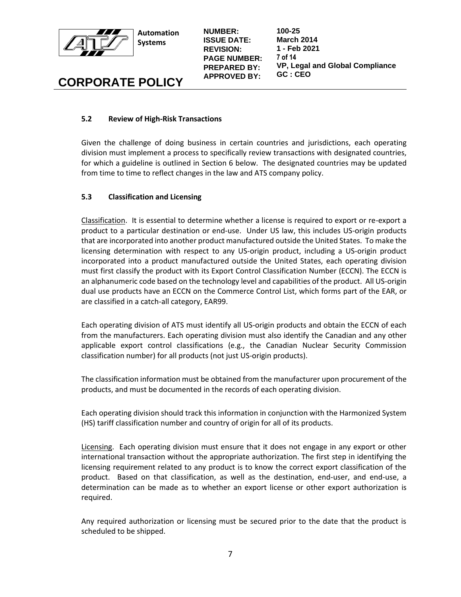

**Automation Systems**

**NUMBER: ISSUE DATE: REVISION: PAGE NUMBER: PREPARED BY: APPROVED BY:** 

**100-25 March 2014 1 - Feb 2021 7 of 14 VP, Legal and Global Compliance GC : CEO**

# **CORPORATE POLICY**

# **5.2 Review of High-Risk Transactions**

Given the challenge of doing business in certain countries and jurisdictions, each operating division must implement a process to specifically review transactions with designated countries, for which a guideline is outlined in Section 6 below. The designated countries may be updated from time to time to reflect changes in the law and ATS company policy.

# **5.3 Classification and Licensing**

Classification. It is essential to determine whether a license is required to export or re-export a product to a particular destination or end-use. Under US law, this includes US-origin products that are incorporated into another product manufactured outside the United States. To make the licensing determination with respect to any US-origin product, including a US-origin product incorporated into a product manufactured outside the United States, each operating division must first classify the product with its Export Control Classification Number (ECCN). The ECCN is an alphanumeric code based on the technology level and capabilities of the product. All US-origin dual use products have an ECCN on the Commerce Control List, which forms part of the EAR, or are classified in a catch-all category, EAR99.

Each operating division of ATS must identify all US-origin products and obtain the ECCN of each from the manufacturers. Each operating division must also identify the Canadian and any other applicable export control classifications (e.g., the Canadian Nuclear Security Commission classification number) for all products (not just US-origin products).

The classification information must be obtained from the manufacturer upon procurement of the products, and must be documented in the records of each operating division.

Each operating division should track this information in conjunction with the Harmonized System (HS) tariff classification number and country of origin for all of its products.

Licensing. Each operating division must ensure that it does not engage in any export or other international transaction without the appropriate authorization. The first step in identifying the licensing requirement related to any product is to know the correct export classification of the product. Based on that classification, as well as the destination, end-user, and end-use, a determination can be made as to whether an export license or other export authorization is required.

Any required authorization or licensing must be secured prior to the date that the product is scheduled to be shipped.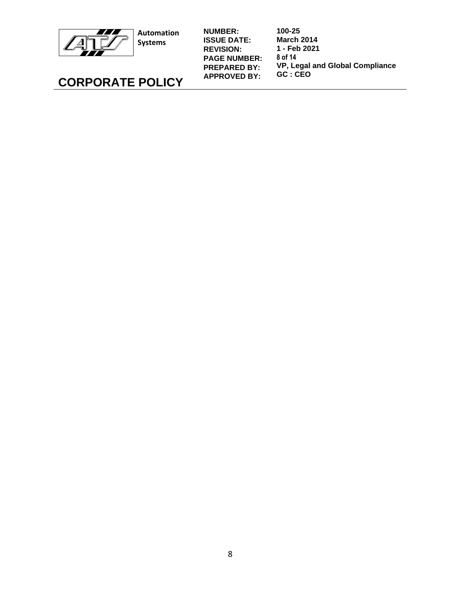

**100-25 March 2014 1 - Feb 2021 8 of 14 VP, Legal and Global Compliance GC : CEO**

**CORPORATE POLICY**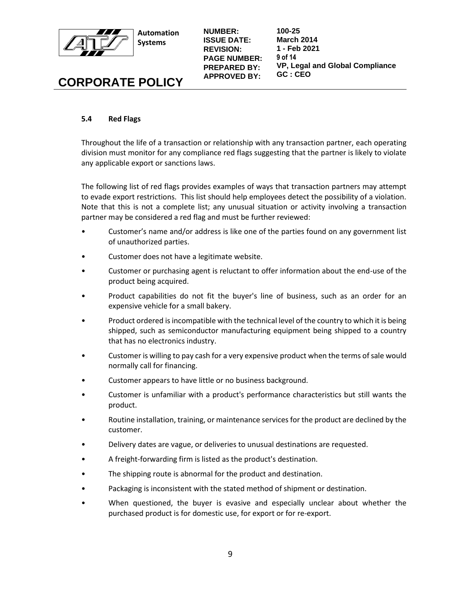

**100-25 March 2014 1 - Feb 2021 9 of 14 VP, Legal and Global Compliance GC : CEO**

# **CORPORATE POLICY**

# **5.4 Red Flags**

Throughout the life of a transaction or relationship with any transaction partner, each operating division must monitor for any compliance red flags suggesting that the partner is likely to violate any applicable export or sanctions laws.

The following list of red flags provides examples of ways that transaction partners may attempt to evade export restrictions. This list should help employees detect the possibility of a violation. Note that this is not a complete list; any unusual situation or activity involving a transaction partner may be considered a red flag and must be further reviewed:

- Customer's name and/or address is like one of the parties found on any government list of unauthorized parties.
- Customer does not have a legitimate website.
- Customer or purchasing agent is reluctant to offer information about the end-use of the product being acquired.
- Product capabilities do not fit the buyer's line of business, such as an order for an expensive vehicle for a small bakery.
- Product ordered is incompatible with the technical level of the country to which it is being shipped, such as semiconductor manufacturing equipment being shipped to a country that has no electronics industry.
- Customer is willing to pay cash for a very expensive product when the terms of sale would normally call for financing.
- Customer appears to have little or no business background.
- Customer is unfamiliar with a product's performance characteristics but still wants the product.
- Routine installation, training, or maintenance services for the product are declined by the customer.
- Delivery dates are vague, or deliveries to unusual destinations are requested.
- A freight-forwarding firm is listed as the product's destination.
- The shipping route is abnormal for the product and destination.
- Packaging is inconsistent with the stated method of shipment or destination.
- When questioned, the buyer is evasive and especially unclear about whether the purchased product is for domestic use, for export or for re-export.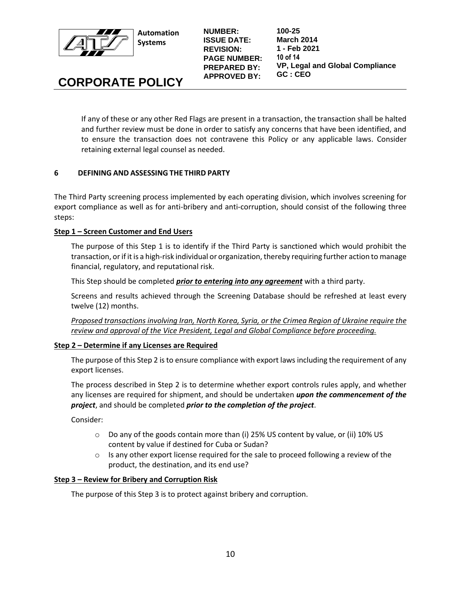

**100-25 March 2014 1 - Feb 2021 10 of 14 VP, Legal and Global Compliance GC : CEO**

# **CORPORATE POLICY**

If any of these or any other Red Flags are present in a transaction, the transaction shall be halted and further review must be done in order to satisfy any concerns that have been identified, and to ensure the transaction does not contravene this Policy or any applicable laws. Consider retaining external legal counsel as needed.

## **6 DEFINING AND ASSESSING THE THIRD PARTY**

The Third Party screening process implemented by each operating division, which involves screening for export compliance as well as for anti-bribery and anti-corruption, should consist of the following three steps:

## **Step 1 – Screen Customer and End Users**

The purpose of this Step 1 is to identify if the Third Party is sanctioned which would prohibit the transaction, or if it is a high-risk individual or organization, thereby requiring further action to manage financial, regulatory, and reputational risk.

This Step should be completed *prior to entering into any agreement* with a third party.

Screens and results achieved through the Screening Database should be refreshed at least every twelve (12) months.

*Proposed transactions involving Iran, North Korea, Syria, or the Crimea Region of Ukraine require the review and approval of the Vice President, Legal and Global Compliance before proceeding.*

## **Step 2 – Determine if any Licenses are Required**

The purpose of this Step 2 is to ensure compliance with export laws including the requirement of any export licenses.

The process described in Step 2 is to determine whether export controls rules apply, and whether any licenses are required for shipment, and should be undertaken *upon the commencement of the project*, and should be completed *prior to the completion of the project*.

Consider:

- $\circ$  Do any of the goods contain more than (i) 25% US content by value, or (ii) 10% US content by value if destined for Cuba or Sudan?
- $\circ$  Is any other export license required for the sale to proceed following a review of the product, the destination, and its end use?

#### **Step 3 – Review for Bribery and Corruption Risk**

The purpose of this Step 3 is to protect against bribery and corruption.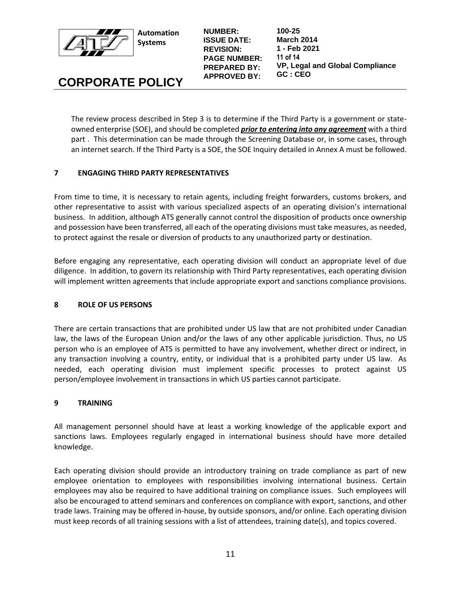

**NUMBER: ISSUE DATE: REVISION: PAGE NUMBER:**

**100-25 March 2014 1 - Feb 2021 11 of 14 VP, Legal and Global Compliance GC : CEO**

# **CORPORATE POLICY**

The review process described in Step 3 is to determine if the Third Party is a government or stateowned enterprise (SOE), and should be completed *prior to entering into any agreement* with a third part . This determination can be made through the Screening Database or, in some cases, through an internet search. If the Third Party is a SOE, the SOE Inquiry detailed in Annex A must be followed.

**PREPARED BY: APPROVED BY:** 

## **7 ENGAGING THIRD PARTY REPRESENTATIVES**

From time to time, it is necessary to retain agents, including freight forwarders, customs brokers, and other representative to assist with various specialized aspects of an operating division's international business. In addition, although ATS generally cannot control the disposition of products once ownership and possession have been transferred, all each of the operating divisions must take measures, as needed, to protect against the resale or diversion of products to any unauthorized party or destination.

Before engaging any representative, each operating division will conduct an appropriate level of due diligence. In addition, to govern its relationship with Third Party representatives, each operating division will implement written agreements that include appropriate export and sanctions compliance provisions.

## **8 ROLE OF US PERSONS**

There are certain transactions that are prohibited under US law that are not prohibited under Canadian law, the laws of the European Union and/or the laws of any other applicable jurisdiction. Thus, no US person who is an employee of ATS is permitted to have any involvement, whether direct or indirect, in any transaction involving a country, entity, or individual that is a prohibited party under US law. As needed, each operating division must implement specific processes to protect against US person/employee involvement in transactions in which US parties cannot participate.

#### **9 TRAINING**

All management personnel should have at least a working knowledge of the applicable export and sanctions laws. Employees regularly engaged in international business should have more detailed knowledge.

Each operating division should provide an introductory training on trade compliance as part of new employee orientation to employees with responsibilities involving international business. Certain employees may also be required to have additional training on compliance issues. Such employees will also be encouraged to attend seminars and conferences on compliance with export, sanctions, and other trade laws. Training may be offered in-house, by outside sponsors, and/or online. Each operating division must keep records of all training sessions with a list of attendees, training date(s), and topics covered.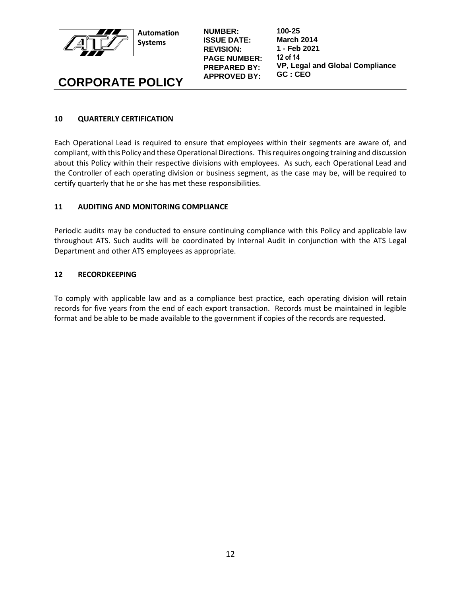

**Automation Systems**

**NUMBER: ISSUE DATE: REVISION: PAGE NUMBER: PREPARED BY: APPROVED BY:** 

**100-25 March 2014 1 - Feb 2021 12 of 14 VP, Legal and Global Compliance GC : CEO**

# **CORPORATE POLICY**

# **10 QUARTERLY CERTIFICATION**

Each Operational Lead is required to ensure that employees within their segments are aware of, and compliant, with this Policy and these Operational Directions. This requires ongoing training and discussion about this Policy within their respective divisions with employees. As such, each Operational Lead and the Controller of each operating division or business segment, as the case may be, will be required to certify quarterly that he or she has met these responsibilities.

# **11 AUDITING AND MONITORING COMPLIANCE**

Periodic audits may be conducted to ensure continuing compliance with this Policy and applicable law throughout ATS. Such audits will be coordinated by Internal Audit in conjunction with the ATS Legal Department and other ATS employees as appropriate.

## **12 RECORDKEEPING**

To comply with applicable law and as a compliance best practice, each operating division will retain records for five years from the end of each export transaction. Records must be maintained in legible format and be able to be made available to the government if copies of the records are requested.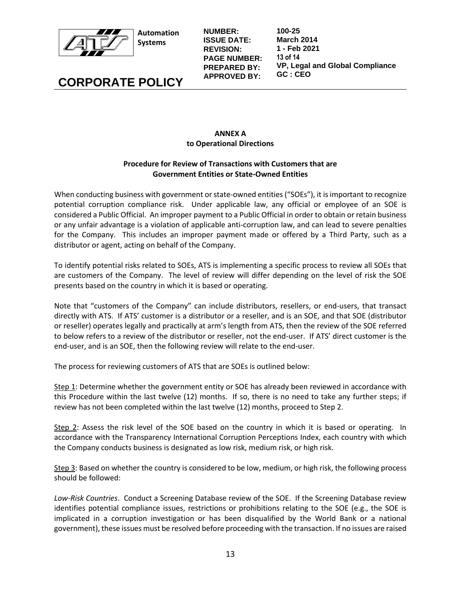

**CORPORATE POLICY**

**Automation Systems**

**NUMBER: ISSUE DATE: REVISION: PAGE NUMBER: PREPARED BY: APPROVED BY:** 

**100-25 March 2014 1 - Feb 2021 13 of 14 VP, Legal and Global Compliance GC : CEO**

# **ANNEX A to Operational Directions**

## **Procedure for Review of Transactions with Customers that are Government Entities or State-Owned Entities**

When conducting business with government or state-owned entities ("SOEs"), it is important to recognize potential corruption compliance risk. Under applicable law, any official or employee of an SOE is considered a Public Official. An improper payment to a Public Official in order to obtain or retain business or any unfair advantage is a violation of applicable anti-corruption law, and can lead to severe penalties for the Company. This includes an improper payment made or offered by a Third Party, such as a distributor or agent, acting on behalf of the Company.

To identify potential risks related to SOEs, ATS is implementing a specific process to review all SOEs that are customers of the Company. The level of review will differ depending on the level of risk the SOE presents based on the country in which it is based or operating.

Note that "customers of the Company" can include distributors, resellers, or end-users, that transact directly with ATS. If ATS' customer is a distributor or a reseller, and is an SOE, and that SOE (distributor or reseller) operates legally and practically at arm's length from ATS, then the review of the SOE referred to below refers to a review of the distributor or reseller, not the end-user. If ATS' direct customer is the end-user, and is an SOE, then the following review will relate to the end-user.

The process for reviewing customers of ATS that are SOEs is outlined below:

Step 1: Determine whether the government entity or SOE has already been reviewed in accordance with this Procedure within the last twelve (12) months. If so, there is no need to take any further steps; if review has not been completed within the last twelve (12) months, proceed to Step 2.

Step 2: Assess the risk level of the SOE based on the country in which it is based or operating. In accordance with the Transparency International Corruption Perceptions Index, each country with which the Company conducts business is designated as low risk, medium risk, or high risk.

Step 3: Based on whether the country is considered to be low, medium, or high risk, the following process should be followed:

*Low-Risk Countries*. Conduct a Screening Database review of the SOE. If the Screening Database review identifies potential compliance issues, restrictions or prohibitions relating to the SOE (e.g., the SOE is implicated in a corruption investigation or has been disqualified by the World Bank or a national government), these issues must be resolved before proceeding with the transaction. If no issues are raised